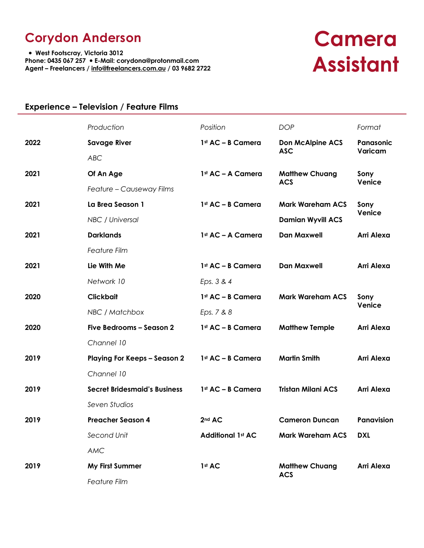## **Corydon Anderson**

 **West Footscray, Victoria 3012 Phone: 0435 067 257 E-Mail: corydona@protonmail.com Agent – Freelancers / info@freelancers.com.au / 03 9682 2722** 

# **Camera Assistant**

### **Experience – Television / Feature Films**

|      | Production                          | Position                 | <b>DOP</b>                            | Format                |
|------|-------------------------------------|--------------------------|---------------------------------------|-----------------------|
| 2022 | <b>Savage River</b>                 | 1st AC - B Camera        | <b>Don McAlpine ACS</b><br><b>ASC</b> | Panasonic<br>Varicam  |
|      | <b>ABC</b>                          |                          |                                       |                       |
| 2021 | Of An Age                           | 1st AC - A Camera        | <b>Matthew Chuang</b><br><b>ACS</b>   | Sony<br>Venice        |
|      | Feature - Causeway Films            |                          |                                       |                       |
| 2021 | La Brea Season 1                    | 1st AC - B Camera        | <b>Mark Wareham ACS</b>               | Sony<br>Venice        |
|      | NBC / Universal                     |                          | <b>Damian Wyvill ACS</b>              |                       |
| 2021 | <b>Darklands</b>                    | 1st AC - A Camera        | <b>Dan Maxwell</b>                    | <b>Arri Alexa</b>     |
|      | <b>Feature Film</b>                 |                          |                                       |                       |
| 2021 | Lie With Me                         | 1st AC - B Camera        | <b>Dan Maxwell</b>                    | <b>Arri Alexa</b>     |
|      | Network 10                          | Eps. 3 & 4               |                                       |                       |
| 2020 | <b>Clickbait</b>                    | 1st AC - B Camera        | <b>Mark Wareham ACS</b>               | Sony<br><b>Venice</b> |
|      | NBC / Matchbox                      | Eps. 7 & 8               |                                       |                       |
| 2020 | Five Bedrooms - Season 2            | 1st AC - B Camera        | <b>Matthew Temple</b>                 | Arri Alexa            |
|      | Channel 10                          |                          |                                       |                       |
| 2019 | <b>Playing For Keeps - Season 2</b> | 1st AC - B Camera        | <b>Martin Smith</b>                   | <b>Arri Alexa</b>     |
|      | Channel 10                          |                          |                                       |                       |
| 2019 | <b>Secret Bridesmaid's Business</b> | 1st AC - B Camera        | <b>Tristan Milani ACS</b>             | <b>Arri Alexa</b>     |
|      | Seven Studios                       |                          |                                       |                       |
| 2019 | <b>Preacher Season 4</b>            | 2nd AC                   | <b>Cameron Duncan</b>                 | <b>Panavision</b>     |
|      | Second Unit                         | <b>Additional 1st AC</b> | <b>Mark Wareham ACS</b>               | <b>DXL</b>            |
|      | <b>AMC</b>                          |                          |                                       |                       |
| 2019 | My First Summer                     | 1st AC                   | <b>Matthew Chuang</b>                 | <b>Arri Alexa</b>     |
|      | Feature Film                        |                          | <b>ACS</b>                            |                       |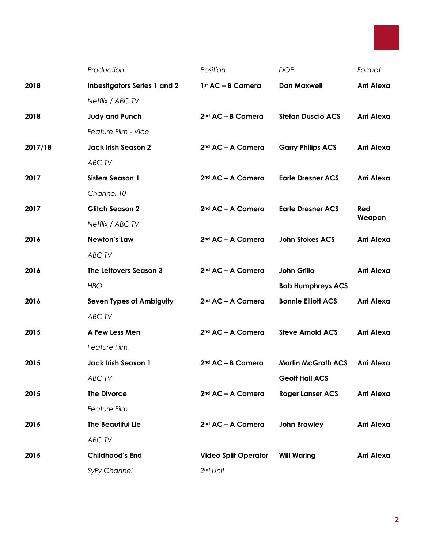

|         | Production                          | Position                      | <b>DOP</b>                | Format     |
|---------|-------------------------------------|-------------------------------|---------------------------|------------|
| 2018    | <b>Inbestigators Series 1 and 2</b> | 1st AC - B Camera             | <b>Dan Maxwell</b>        | Arri Alexa |
|         | Netflix / ABC TV                    |                               |                           |            |
| 2018    | <b>Judy and Punch</b>               | $2nd AC - B$ Camera           | <b>Stefan Duscio ACS</b>  | Arri Alexa |
|         | Feature Film - Vice                 |                               |                           |            |
| 2017/18 | <b>Jack Irish Season 2</b>          | 2 <sup>nd</sup> AC - A Camera | <b>Garry Philips ACS</b>  | Arri Alexa |
|         | ABC TV                              |                               |                           |            |
| 2017    | <b>Sisters Season 1</b>             | 2 <sup>nd</sup> AC - A Camera | <b>Earle Dresner ACS</b>  | Arri Alexa |
|         | Channel 10                          |                               |                           |            |
| 2017    | <b>Glitch Season 2</b>              | 2 <sup>nd</sup> AC - A Camera | <b>Earle Dresner ACS</b>  | Red        |
|         | Netflix / ABC TV                    |                               |                           | Weapon     |
| 2016    | <b>Newton's Law</b>                 | 2 <sup>nd</sup> AC - A Camera | <b>John Stokes ACS</b>    | Arri Alexa |
|         | ABC TV                              |                               |                           |            |
| 2016    | The Leftovers Season 3              | 2 <sup>nd</sup> AC - A Camera | <b>John Grillo</b>        | Arri Alexa |
|         | <b>HBO</b>                          |                               | <b>Bob Humphreys ACS</b>  |            |
| 2016    | <b>Seven Types of Ambiguity</b>     | 2 <sup>nd</sup> AC - A Camera | <b>Bonnie Elliott ACS</b> | Arri Alexa |
|         | ABC TV                              |                               |                           |            |
| 2015    | A Few Less Men                      | 2 <sup>nd</sup> AC - A Camera | <b>Steve Arnold ACS</b>   | Arri Alexa |
|         | <b>Feature Film</b>                 |                               |                           |            |
| 2015    | <b>Jack Irish Season 1</b>          | 2 <sup>nd</sup> AC - B Camera | <b>Martin McGrath ACS</b> | Arri Alexa |
|         | ABC TV                              |                               | <b>Geoff Hall ACS</b>     |            |
| 2015    | <b>The Divorce</b>                  | 2 <sup>nd</sup> AC - A Camera | <b>Roger Lanser ACS</b>   | Arri Alexa |
|         | <b>Feature Film</b>                 |                               |                           |            |
| 2015    | <b>The Beautiful Lie</b>            | 2 <sup>nd</sup> AC - A Camera | <b>John Brawley</b>       | Arri Alexa |
|         | ABC TV                              |                               |                           |            |
| 2015    | <b>Childhood's End</b>              | <b>Video Split Operator</b>   | <b>Will Waring</b>        | Arri Alexa |
|         | SyFy Channel                        | 2nd Unit                      |                           |            |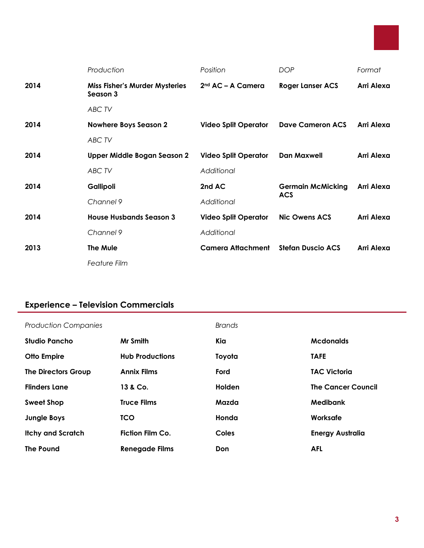

|      | Production                                        | Position                      | <b>DOP</b>               | Format     |  |  |
|------|---------------------------------------------------|-------------------------------|--------------------------|------------|--|--|
| 2014 | <b>Miss Fisher's Murder Mysteries</b><br>Season 3 | 2 <sup>nd</sup> AC – A Camera | <b>Roger Lanser ACS</b>  | Arri Alexa |  |  |
|      | ABC TV                                            |                               |                          |            |  |  |
| 2014 | <b>Nowhere Boys Season 2</b>                      | <b>Video Split Operator</b>   | Dave Cameron ACS         | Arri Alexa |  |  |
|      | ABC TV                                            |                               |                          |            |  |  |
| 2014 | Upper Middle Bogan Season 2                       | <b>Video Split Operator</b>   | Dan Maxwell              | Arri Alexa |  |  |
|      | ABC TV                                            | Additional                    |                          |            |  |  |
| 2014 | Gallipoli                                         | 2nd AC                        | <b>Germain McMicking</b> | Arri Alexa |  |  |
|      | Channel 9                                         | Additional                    | <b>ACS</b>               |            |  |  |
| 2014 | <b>House Husbands Season 3</b>                    | <b>Video Split Operator</b>   | <b>Nic Owens ACS</b>     | Arri Alexa |  |  |
|      | Channel 9                                         | Additional                    |                          |            |  |  |
| 2013 | <b>The Mule</b>                                   | <b>Camera Attachment</b>      | <b>Stefan Duscio ACS</b> | Arri Alexa |  |  |
|      | <b>Feature Film</b>                               |                               |                          |            |  |  |

## **Experience – Television Commercials**

| <b>Production Companies</b> |                         | <b>Brands</b> |                           |
|-----------------------------|-------------------------|---------------|---------------------------|
| <b>Studio Pancho</b>        | Mr Smith                | Kia           | <b>Mcdonalds</b>          |
| <b>Otto Empire</b>          | <b>Hub Productions</b>  | Toyota        | <b>TAFE</b>               |
| <b>The Directors Group</b>  | <b>Annix Films</b>      | Ford          | <b>TAC Victoria</b>       |
| <b>Flinders Lane</b>        | 13 & Co.                | <b>Holden</b> | <b>The Cancer Council</b> |
| <b>Sweet Shop</b>           | <b>Truce Films</b>      | Mazda         | Medibank                  |
| <b>Jungle Boys</b>          | <b>TCO</b>              | Honda         | Worksafe                  |
| <b>Itchy and Scratch</b>    | <b>Fiction Film Co.</b> | Coles         | <b>Energy Australia</b>   |
| <b>The Pound</b>            | <b>Renegade Films</b>   | Don           | <b>AFL</b>                |